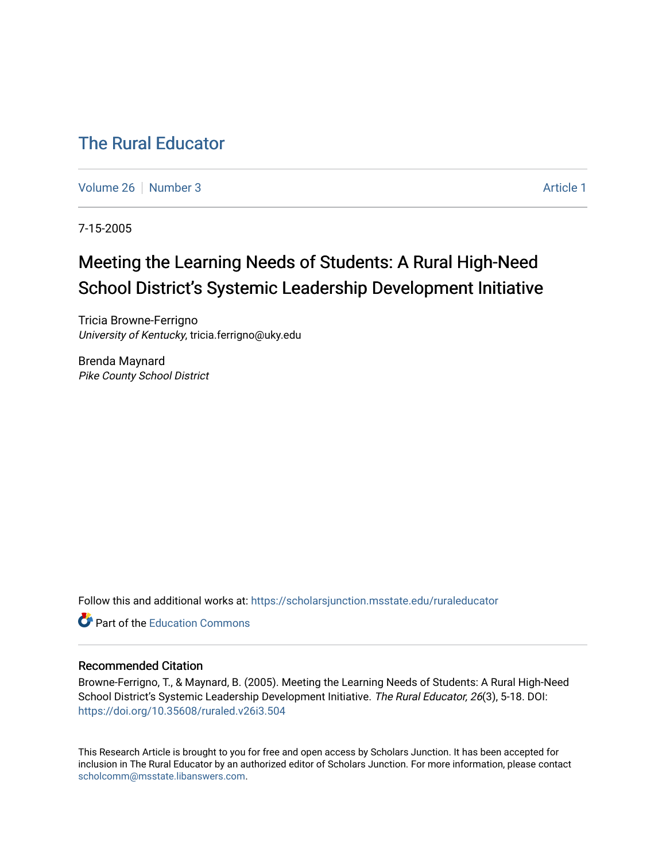# [The Rural Educator](https://scholarsjunction.msstate.edu/ruraleducator)

[Volume 26](https://scholarsjunction.msstate.edu/ruraleducator/vol26) [Number 3](https://scholarsjunction.msstate.edu/ruraleducator/vol26/iss3) Article 1

7-15-2005

# Meeting the Learning Needs of Students: A Rural High-Need School District's Systemic Leadership Development Initiative

Tricia Browne-Ferrigno University of Kentucky, tricia.ferrigno@uky.edu

Brenda Maynard Pike County School District

Follow this and additional works at: [https://scholarsjunction.msstate.edu/ruraleducator](https://scholarsjunction.msstate.edu/ruraleducator?utm_source=scholarsjunction.msstate.edu%2Fruraleducator%2Fvol26%2Fiss3%2F1&utm_medium=PDF&utm_campaign=PDFCoverPages)

**C** Part of the [Education Commons](http://network.bepress.com/hgg/discipline/784?utm_source=scholarsjunction.msstate.edu%2Fruraleducator%2Fvol26%2Fiss3%2F1&utm_medium=PDF&utm_campaign=PDFCoverPages)

# Recommended Citation

Browne-Ferrigno, T., & Maynard, B. (2005). Meeting the Learning Needs of Students: A Rural High-Need School District's Systemic Leadership Development Initiative. The Rural Educator, 26(3), 5-18. DOI: <https://doi.org/10.35608/ruraled.v26i3.504>

This Research Article is brought to you for free and open access by Scholars Junction. It has been accepted for inclusion in The Rural Educator by an authorized editor of Scholars Junction. For more information, please contact [scholcomm@msstate.libanswers.com.](mailto:scholcomm@msstate.libanswers.com)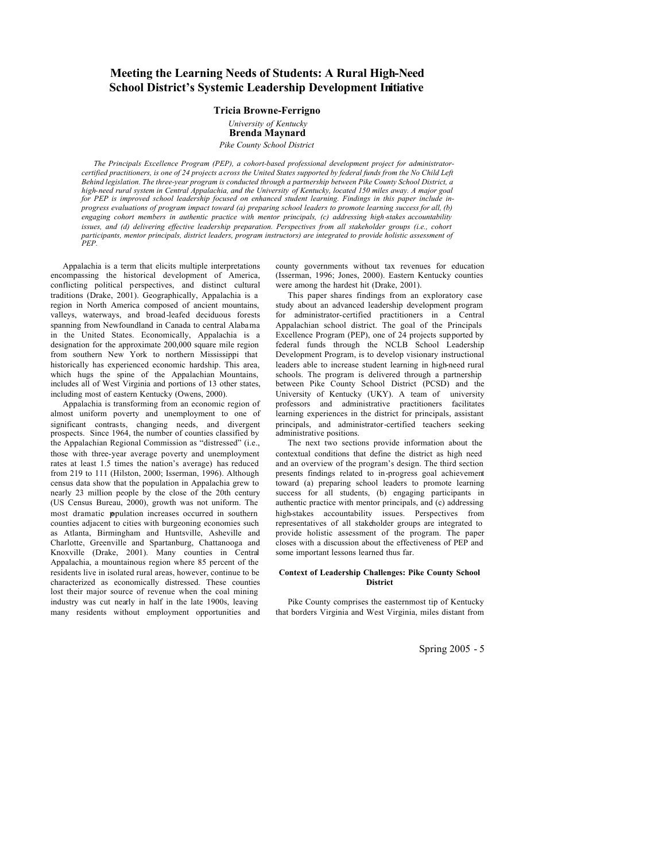# **Meeting the Learning Needs of Students: A Rural High-Need School District's Systemic Leadership Development Initiative**

# **Tricia Browne-Ferrigno** *University of Kentucky* **Brenda Maynard** *Pike County School District*

*The Principals Excellence Program (PEP), a cohort-based professional development project for administratorcertified practitioners, is one of 24 projects across the United States supported by federal funds from the No Child Left Behind legislation. The three-year program is conducted through a partnership between Pike County School District, a high-need rural system in Central Appalachia, and the University of Kentucky, located 150 miles away. A major goal for PEP is improved school leadership focused on enhanced student learning. Findings in this paper include inprogress evaluations of program impact toward (a) preparing school leaders to promote learning success for all, (b) engaging cohort members in authentic practice with mentor principals, (c) addressing high-stakes accountability issues, and (d) delivering effective leadership preparation. Perspectives from all stakeholder groups (i.e., cohort participants, mentor principals, district leaders, program instructors) are integrated to provide holistic assessment of*   $P$ 

Appalachia is a term that elicits multiple interpretations encompassing the historical development of America, conflicting political perspectives, and distinct cultural traditions (Drake, 2001). Geographically, Appalachia is a region in North America composed of ancient mountains, valleys, waterways, and broad-leafed deciduous forests spanning from Newfoundland in Canada to central Alabama in the United States. Economically, Appalachia is a designation for the approximate 200,000 square mile region from southern New York to northern Mississippi that historically has experienced economic hardship. This area, which hugs the spine of the Appalachian Mountains, includes all of West Virginia and portions of 13 other states, including most of eastern Kentucky (Owens, 2000).

Appalachia is transforming from an economic region of almost uniform poverty and unemployment to one of significant contrasts, changing needs, and divergent prospects. Since 1964, the number of counties classified by the Appalachian Regional Commission as "distressed" (i.e., those with three-year average poverty and unemployment rates at least 1.5 times the nation's average) has reduced from 219 to 111 (Hilston, 2000; Isserman, 1996). Although census data show that the population in Appalachia grew to nearly 23 million people by the close of the 20th century (US Census Bureau, 2000), growth was not uniform. The most dramatic population increases occurred in southern counties adjacent to cities with burgeoning economies such as Atlanta, Birmingham and Huntsville, Asheville and Charlotte, Greenville and Spartanburg, Chattanooga and Knoxville (Drake, 2001). Many counties in Central Appalachia, a mountainous region where 85 percent of the residents live in isolated rural areas, however, continue to be characterized as economically distressed. These counties lost their major source of revenue when the coal mining industry was cut nearly in half in the late 1900s, leaving many residents without employment opportunities and county governments without tax revenues for education (Isserman, 1996; Jones, 2000). Eastern Kentucky counties were among the hardest hit (Drake, 2001).

This paper shares findings from an exploratory case study about an advanced leadership development program for administrator-certified practitioners in a Central Appalachian school district. The goal of the Principals Excellence Program (PEP), one of 24 projects supported by federal funds through the NCLB School Leadership Development Program, is to develop visionary instructional leaders able to increase student learning in high-need rural schools. The program is delivered through a partnership between Pike County School District (PCSD) and the University of Kentucky (UKY). A team of university professors and administrative practitioners facilitates learning experiences in the district for principals, assistant principals, and administrator-certified teachers seeking administrative positions.

The next two sections provide information about the contextual conditions that define the district as high need and an overview of the program's design. The third section presents findings related to in-progress goal achievement toward (a) preparing school leaders to promote learning success for all students, (b) engaging participants in authentic practice with mentor principals, and (c) addressing high-stakes accountability issues. Perspectives from representatives of all stakeholder groups are integrated to provide holistic assessment of the program. The paper closes with a discussion about the effectiveness of PEP and some important lessons learned thus far.

### **Context of Leadership Challenges: Pike County School District**

Pike County comprises the easternmost tip of Kentucky that borders Virginia and West Virginia, miles distant from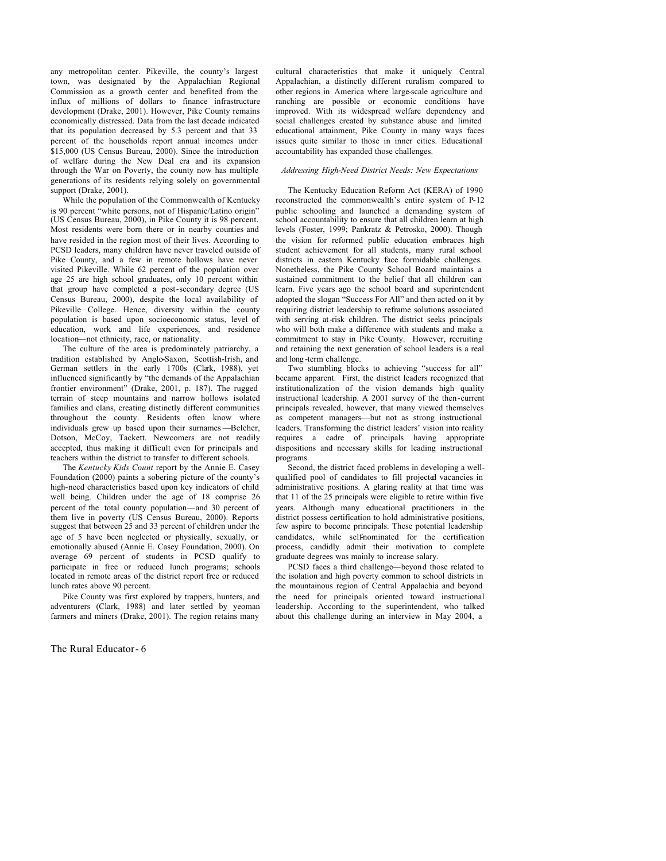any metropolitan center. Pikeville, the county's largest town, was designated by the Appalachian Regional Commission as a growth center and benefited from the influx of millions of dollars to finance infrastructure development (Drake, 2001). However, Pike County remains economically distressed. Data from the last decade indicated that its population decreased by 5.3 percent and that 33 percent of the households report annual incomes under \$15,000 (US Census Bureau, 2000). Since the introduction of welfare during the New Deal era and its expansion through the War on Poverty, the county now has multiple generations of its residents relying solely on governmental support (Drake, 2001).

While the population of the Commonwealth of Kentucky is 90 percent "white persons, not of Hispanic/Latino origin" (US Census Bureau, 2000), in Pike County it is 98 percent. Most residents were born there or in nearby counties and have resided in the region most of their lives. According to PCSD leaders, many children have never traveled outside of Pike County, and a few in remote hollows have never visited Pikeville. While 62 percent of the population over age 25 are high school graduates, only 10 percent within that group have completed a post-secondary degree (US Census Bureau, 2000), despite the local availability of Pikeville College. Hence, diversity within the county population is based upon socioeconomic status, level of education, work and life experiences, and residence location—not ethnicity, race, or nationality.

The culture of the area is predominately patriarchy, a tradition established by Anglo-Saxon, Scottish-Irish, and German settlers in the early 1700s (Clark, 1988), yet influenced significantly by "the demands of the Appalachian frontier environment" (Drake, 2001, p. 187). The rugged terrain of steep mountains and narrow hollows isolated families and clans, creating distinctly different communities throughout the county. Residents often know where individuals grew up based upon their surnames —Belcher, Dotson, McCoy, Tackett. Newcomers are not readily accepted, thus making it difficult even for principals and teachers within the district to transfer to different schools.

The *Kentucky Kids Count* report by the Annie E. Casey Foundation (2000) paints a sobering picture of the county's high-need characteristics based upon key indicators of child well being. Children under the age of 18 comprise 26 percent of the total county population—and 30 percent of them live in poverty (US Census Bureau, 2000). Reports suggest that between 25 and 33 percent of children under the age of 5 have been neglected or physically, sexually, or emotionally abused (Annie E. Casey Foundation, 2000). On average 69 percent of students in PCSD qualify to participate in free or reduced lunch programs; schools located in remote areas of the district report free or reduced lunch rates above 90 percent.

Pike County was first explored by trappers, hunters, and adventurers (Clark, 1988) and later settled by yeoman farmers and miners (Drake, 2001). The region retains many

The Rural Educator- 6

cultural characteristics that make it uniquely Central Appalachian, a distinctly different ruralism compared to other regions in America where large-scale agriculture and ranching are possible or economic conditions have improved. With its widespread welfare dependency and social challenges created by substance abuse and limited educational attainment, Pike County in many ways faces issues quite similar to those in inner cities. Educational accountability has expanded those challenges.

# *Addressing High-Need District Needs: New Expectations*

The Kentucky Education Reform Act (KERA) of 1990 reconstructed the commonwealth's entire system of P-12 public schooling and launched a demanding system of school accountability to ensure that all children learn at high levels (Foster, 1999; Pankratz & Petrosko, 2000). Though the vision for reformed public education embraces high student achievement for all students, many rural school districts in eastern Kentucky face formidable challenges. Nonetheless, the Pike County School Board maintains a sustained commitment to the belief that all children can learn. Five years ago the school board and superintendent adopted the slogan "Success For All" and then acted on it by requiring district leadership to reframe solutions associated with serving at-risk children. The district seeks principals who will both make a difference with students and make a commitment to stay in Pike County. However, recruiting and retaining the next generation of school leaders is a real and long -term challenge.

Two stumbling blocks to achieving "success for all" became apparent. First, the district leaders recognized that institutionalization of the vision demands high quality instructional leadership. A 2001 survey of the then-current principals revealed, however, that many viewed themselves as competent managers—but not as strong instructional leaders. Transforming the district leaders' vision into reality requires a cadre of principals having appropriate dispositions and necessary skills for leading instructional programs.

Second, the district faced problems in developing a wellqualified pool of candidates to fill projected vacancies in administrative positions. A glaring reality at that time was that 11 of the 25 principals were eligible to retire within five years. Although many educational practitioners in the district possess certification to hold administrative positions. few aspire to become principals. These potential leadership candidates, while self-nominated for the certification process, candidly admit their motivation to complete graduate degrees was mainly to increase salary.

PCSD faces a third challenge—beyond those related to the isolation and high poverty common to school districts in the mountainous region of Central Appalachia and beyond the need for principals oriented toward instructional leadership. According to the superintendent, who talked about this challenge during an interview in May 2004, a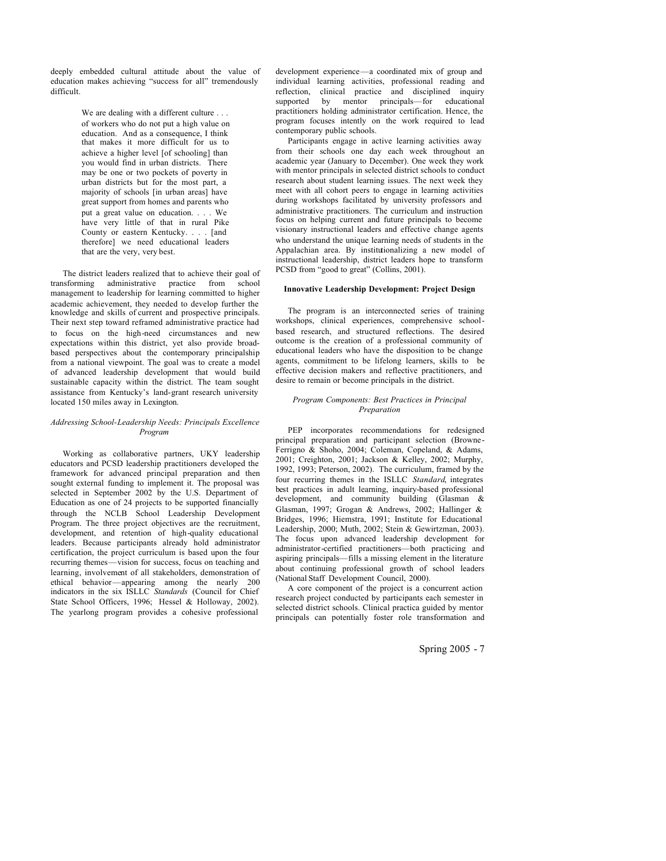deeply embedded cultural attitude about the value of education makes achieving "success for all" tremendously difficult.

> We are dealing with a different culture . . . of workers who do not put a high value on education. And as a consequence, I think that makes it more difficult for us to achieve a higher level [of schooling] than you would find in urban districts. There may be one or two pockets of poverty in urban districts but for the most part, a majority of schools [in urban areas] have great support from homes and parents who put a great value on education. . . . We have very little of that in rural Pike County or eastern Kentucky. . . . [and therefore] we need educational leaders that are the very, very best.

The district leaders realized that to achieve their goal of transforming administrative practice from school management to leadership for learning committed to higher academic achievement, they needed to develop further the knowledge and skills of current and prospective principals. Their next step toward reframed administrative practice had to focus on the high-need circumstances and new expectations within this district, yet also provide broadbased perspectives about the contemporary principalship from a national viewpoint. The goal was to create a model of advanced leadership development that would build sustainable capacity within the district. The team sought assistance from Kentucky's land-grant research university located 150 miles away in Lexington.

#### *Addressing School-Leadership Needs: Principals Excellence Program*

Working as collaborative partners, UKY leadership educators and PCSD leadership practitioners developed the framework for advanced principal preparation and then sought external funding to implement it. The proposal was selected in September 2002 by the U.S. Department of Education as one of 24 projects to be supported financially through the NCLB School Leadership Development Program. The three project objectives are the recruitment, development, and retention of high-quality educational leaders. Because participants already hold administrator certification, the project curriculum is based upon the four recurring themes—vision for success, focus on teaching and learning, involvement of all stakeholders, demonstration of ethical behavior—appearing among the nearly 200 indicators in the six ISLLC *Standards* (Council for Chief State School Officers, 1996; Hessel & Holloway, 2002). The yearlong program provides a cohesive professional

development experience—a coordinated mix of group and individual learning activities, professional reading and reflection, clinical practice and disciplined inquiry supported by mentor principals—for educational practitioners holding administrator certification. Hence, the program focuses intently on the work required to lead contemporary public schools.

Participants engage in active learning activities away from their schools one day each week throughout an academic year (January to December). One week they work with mentor principals in selected district schools to conduct research about student learning issues. The next week they meet with all cohort peers to engage in learning activities during workshops facilitated by university professors and administrative practitioners. The curriculum and instruction focus on helping current and future principals to become visionary instructional leaders and effective change agents who understand the unique learning needs of students in the Appalachian area. By institutionalizing a new model of instructional leadership, district leaders hope to transform PCSD from "good to great" (Collins, 2001).

# **Innovative Leadership Development: Project Design**

The program is an interconnected series of training workshops, clinical experiences, comprehensive schoolbased research, and structured reflections. The desired outcome is the creation of a professional community of educational leaders who have the disposition to be change agents, commitment to be lifelong learners, skills to be effective decision makers and reflective practitioners, and desire to remain or become principals in the district.

# *Program Components: Best Practices in Principal Preparation*

PEP incorporates recommendations for redesigned principal preparation and participant selection (Browne-Ferrigno & Shoho, 2004; Coleman, Copeland, & Adams, 2001; Creighton, 2001; Jackson & Kelley, 2002; Murphy, 1992, 1993; Peterson, 2002). The curriculum, framed by the four recurring themes in the ISLLC *Standard*, integrates best practices in adult learning, inquiry-based professional development, and community building (Glasman & Glasman, 1997; Grogan & Andrews, 2002; Hallinger & Bridges, 1996; Hiemstra, 1991; Institute for Educational Leadership, 2000; Muth, 2002; Stein & Gewirtzman, 2003). The focus upon advanced leadership development for administrator-certified practitioners—both practicing and aspiring principals—fills a missing element in the literature about continuing professional growth of school leaders (National Staff Development Council, 2000).

A core component of the project is a concurrent action research project conducted by participants each semester in selected district schools. Clinical practica guided by mentor principals can potentially foster role transformation and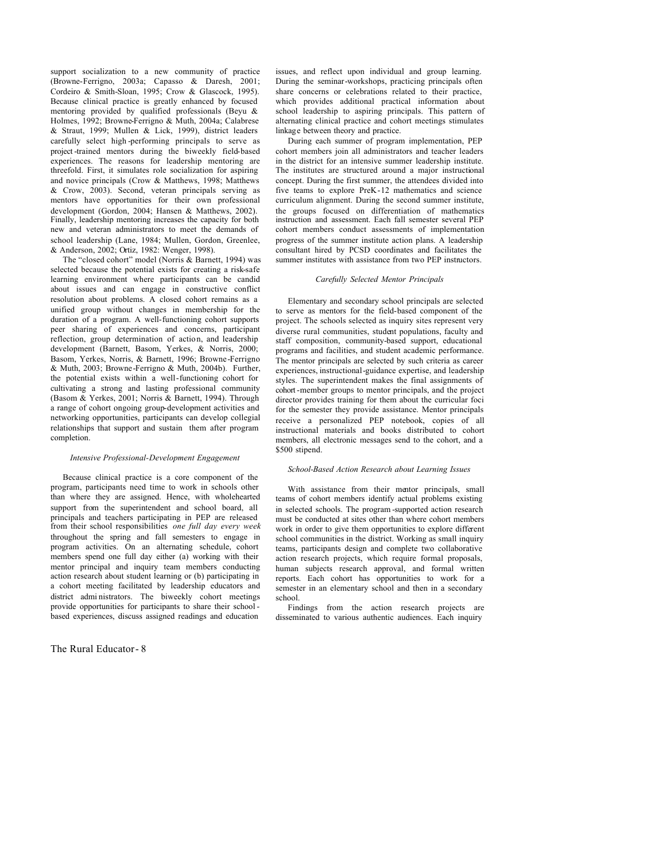support socialization to a new community of practice (Browne-Ferrigno, 2003a; Capasso & Daresh, 2001; Cordeiro & Smith-Sloan, 1995; Crow & Glascock, 1995). Because clinical practice is greatly enhanced by focused mentoring provided by qualified professionals (Beyu & Holmes, 1992; Browne-Ferrigno & Muth, 2004a; Calabrese & Straut, 1999; Mullen & Lick, 1999), district leaders carefully select high -performing principals to serve as project -trained mentors during the biweekly field-based experiences. The reasons for leadership mentoring are threefold. First, it simulates role socialization for aspiring and novice principals (Crow & Matthews, 1998; Matthews & Crow, 2003). Second, veteran principals serving as mentors have opportunities for their own professional development (Gordon, 2004; Hansen & Matthews, 2002). Finally, leadership mentoring increases the capacity for both new and veteran administrators to meet the demands of school leadership (Lane, 1984; Mullen, Gordon, Greenlee, & Anderson, 2002; Ortiz, 1982: Wenger, 1998).

The "closed cohort" model (Norris & Barnett, 1994) was selected because the potential exists for creating a risk-safe learning environment where participants can be candid about issues and can engage in constructive conflict resolution about problems. A closed cohort remains as a unified group without changes in membership for the duration of a program. A well-functioning cohort supports peer sharing of experiences and concerns, participant reflection, group determination of action, and leadership development (Barnett, Basom, Yerkes, & Norris, 2000; Basom, Yerkes, Norris, & Barnett, 1996; Browne-Ferrigno & Muth, 2003; Browne-Ferrigno & Muth, 2004b). Further, the potential exists within a well-functioning cohort for cultivating a strong and lasting professional community (Basom & Yerkes, 2001; Norris & Barnett, 1994). Through a range of cohort ongoing group-development activities and networking opportunities, participants can develop collegial relationships that support and sustain them after program completion.

#### *Intensive Professional-Development Engagement*

Because clinical practice is a core component of the program, participants need time to work in schools other than where they are assigned. Hence, with wholehearted support from the superintendent and school board, all principals and teachers participating in PEP are released from their school responsibilities *one full day every week* throughout the spring and fall semesters to engage in program activities. On an alternating schedule, cohort members spend one full day either (a) working with their mentor principal and inquiry team members conducting action research about student learning or (b) participating in a cohort meeting facilitated by leadership educators and district admi nistrators. The biweekly cohort meetings provide opportunities for participants to share their school based experiences, discuss assigned readings and education

The Rural Educator- 8

issues, and reflect upon individual and group learning. During the seminar-workshops, practicing principals often share concerns or celebrations related to their practice, which provides additional practical information about school leadership to aspiring principals. This pattern of alternating clinical practice and cohort meetings stimulates linkage between theory and practice.

During each summer of program implementation, PEP cohort members join all administrators and teacher leaders in the district for an intensive summer leadership institute. The institutes are structured around a major instructional concept. During the first summer, the attendees divided into five teams to explore PreK-12 mathematics and science curriculum alignment. During the second summer institute, the groups focused on differentiation of mathematics instruction and assessment. Each fall semester several PEP cohort members conduct assessments of implementation progress of the summer institute action plans. A leadership consultant hired by PCSD coordinates and facilitates the summer institutes with assistance from two PEP instructors.

# *Carefully Selected Mentor Principals*

Elementary and secondary school principals are selected to serve as mentors for the field-based component of the project. The schools selected as inquiry sites represent very diverse rural communities, student populations, faculty and staff composition, community-based support, educational programs and facilities, and student academic performance. The mentor principals are selected by such criteria as career experiences, instructional-guidance expertise, and leadership styles. The superintendent makes the final assignments of cohort-member groups to mentor principals, and the project director provides training for them about the curricular foci for the semester they provide assistance. Mentor principals receive a personalized PEP notebook, copies of all instructional materials and books distributed to cohort members, all electronic messages send to the cohort, and a \$500 stipend.

#### *School-Based Action Research about Learning Issues*

With assistance from their mentor principals, small teams of cohort members identify actual problems existing in selected schools. The program -supported action research must be conducted at sites other than where cohort members work in order to give them opportunities to explore different school communities in the district. Working as small inquiry teams, participants design and complete two collaborative action research projects, which require formal proposals, human subjects research approval, and formal written reports. Each cohort has opportunities to work for a semester in an elementary school and then in a secondary school.

Findings from the action research projects are disseminated to various authentic audiences. Each inquiry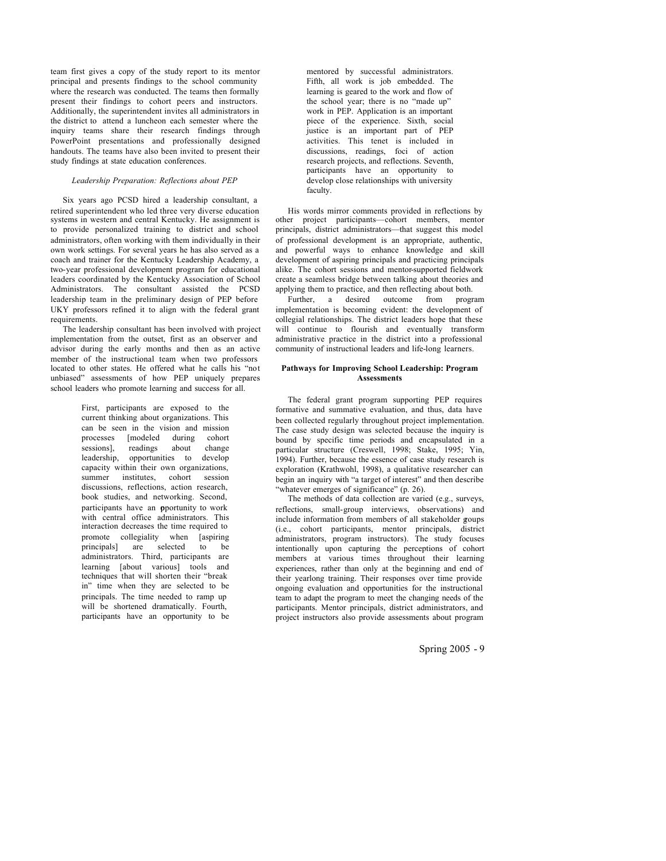team first gives a copy of the study report to its mentor principal and presents findings to the school community where the research was conducted. The teams then formally present their findings to cohort peers and instructors. Additionally, the superintendent invites all administrators in the district to attend a luncheon each semester where the inquiry teams share their research findings through PowerPoint presentations and professionally designed handouts. The teams have also been invited to present their study findings at state education conferences.

## *Leadership Preparation: Reflections about PEP*

Six years ago PCSD hired a leadership consultant, a retired superintendent who led three very diverse education systems in western and central Kentucky. He assignment is to provide personalized training to district and school administrators, often working with them individually in their own work settings. For several years he has also served as a coach and trainer for the Kentucky Leadership Academy, a two-year professional development program for educational leaders coordinated by the Kentucky Association of School Administrators. The consultant assisted the PCSD leadership team in the preliminary design of PEP before UKY professors refined it to align with the federal grant requirements.

The leadership consultant has been involved with project implementation from the outset, first as an observer and advisor during the early months and then as an active member of the instructional team when two professors located to other states. He offered what he calls his "not unbiased" assessments of how PEP uniquely prepares school leaders who promote learning and success for all.

> First, participants are exposed to the current thinking about organizations. This can be seen in the vision and mission processes [modeled during cohort sessions], readings about change leadership, opportunities to develop capacity within their own organizations, summer institutes, cohort session discussions, reflections, action research, book studies, and networking. Second, participants have an **o**portunity to work with central office administrators. This interaction decreases the time required to promote collegiality when [aspiring principals] are selected to be administrators. Third, participants are learning [about various] tools and techniques that will shorten their "break in" time when they are selected to be principals. The time needed to ramp up will be shortened dramatically. Fourth, participants have an opportunity to be

mentored by successful administrators. Fifth, all work is job embedded. The learning is geared to the work and flow of the school year; there is no "made up" work in PEP. Application is an important piece of the experience. Sixth, social justice is an important part of PEP activities. This tenet is included in discussions, readings, foci of action research projects, and reflections. Seventh, participants have an opportunity to develop close relationships with university faculty.

His words mirror comments provided in reflections by other project participants—cohort members, mentor principals, district administrators—that suggest this model of professional development is an appropriate, authentic, and powerful ways to enhance knowledge and skill development of aspiring principals and practicing principals alike. The cohort sessions and mentor-supported fieldwork create a seamless bridge between talking about theories and applying them to practice, and then reflecting about both.

Further, a desired outcome from program implementation is becoming evident: the development of collegial relationships. The district leaders hope that these will continue to flourish and eventually transform administrative practice in the district into a professional community of instructional leaders and life-long learners.

### **Pathways for Improving School Leadership: Program Assessments**

The federal grant program supporting PEP requires formative and summative evaluation, and thus, data have been collected regularly throughout project implementation. The case study design was selected because the inquiry is bound by specific time periods and encapsulated in a particular structure (Creswell, 1998; Stake, 1995; Yin, 1994). Further, because the essence of case study research is exploration (Krathwohl, 1998), a qualitative researcher can begin an inquiry with "a target of interest" and then describe "whatever emerges of significance" (p. 26).

The methods of data collection are varied (e.g., surveys, reflections, small-group interviews, observations) and include information from members of all stakeholder goups (i.e., cohort participants, mentor principals, district administrators, program instructors). The study focuses intentionally upon capturing the perceptions of cohort members at various times throughout their learning experiences, rather than only at the beginning and end of their yearlong training. Their responses over time provide ongoing evaluation and opportunities for the instructional team to adapt the program to meet the changing needs of the participants. Mentor principals, district administrators, and project instructors also provide assessments about program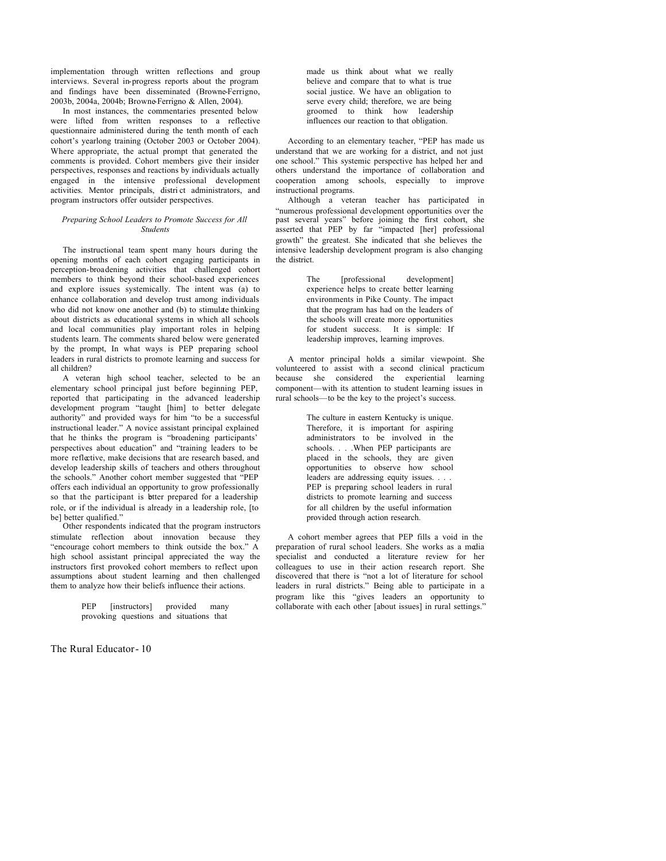implementation through written reflections and group interviews. Several in-progress reports about the program and findings have been disseminated (Browne-Ferrigno, 2003b, 2004a, 2004b; Browne-Ferrigno & Allen, 2004).

In most instances, the commentaries presented below were lifted from written responses to a reflective questionnaire administered during the tenth month of each cohort's yearlong training (October 2003 or October 2004). Where appropriate, the actual prompt that generated the comments is provided. Cohort members give their insider perspectives, responses and reactions by individuals actually engaged in the intensive professional development activities. Mentor principals, distri ct administrators, and program instructors offer outsider perspectives.

## *Preparing School Leaders to Promote Success for All Students*

The instructional team spent many hours during the opening months of each cohort engaging participants in perception-broadening activities that challenged cohort members to think beyond their school-based experiences and explore issues systemically. The intent was (a) to enhance collaboration and develop trust among individuals who did not know one another and (b) to stimulate thinking about districts as educational systems in which all schools and local communities play important roles in helping students learn. The comments shared below were generated by the prompt, In what ways is PEP preparing school leaders in rural districts to promote learning and success for all children?

A veteran high school teacher, selected to be an elementary school principal just before beginning PEP, reported that participating in the advanced leadership development program "taught [him] to better delegate authority" and provided ways for him "to be a successful instructional leader." A novice assistant principal explained that he thinks the program is "broadening participants' perspectives about education" and "training leaders to be more reflective, make decisions that are research based, and develop leadership skills of teachers and others throughout the schools." Another cohort member suggested that "PEP offers each individual an opportunity to grow professionally so that the participant is bitter prepared for a leadership role, or if the individual is already in a leadership role, [to bel better qualified."

Other respondents indicated that the program instructors stimulate reflection about innovation because they "encourage cohort members to think outside the box." A high school assistant principal appreciated the way the instructors first provoked cohort members to reflect upon assumptions about student learning and then challenged them to analyze how their beliefs influence their actions.

> PEP [instructors] provided many provoking questions and situations that

The Rural Educator- 10

made us think about what we really believe and compare that to what is true social justice. We have an obligation to serve every child; therefore, we are being groomed to think how leadership influences our reaction to that obligation.

According to an elementary teacher, "PEP has made us understand that we are working for a district, and not just one school." This systemic perspective has helped her and others understand the importance of collaboration and cooperation among schools, especially to improve instructional programs.

Although a veteran teacher has participated in "numerous professional development opportunities over the past several years" before joining the first cohort, she asserted that PEP by far "impacted [her] professional growth" the greatest. She indicated that she believes the intensive leadership development program is also changing the district.

> The [professional development] experience helps to create better learning environments in Pike County. The impact that the program has had on the leaders of the schools will create more opportunities for student success. It is simple: If leadership improves, learning improves.

A mentor principal holds a similar viewpoint. She volunteered to assist with a second clinical practicum because she considered the experiential learning component—with its attention to student learning issues in rural schools—to be the key to the project's success.

> The culture in eastern Kentucky is unique. Therefore, it is important for aspiring administrators to be involved in the schools. . . .When PEP participants are placed in the schools, they are given opportunities to observe how school leaders are addressing equity issues. . . . PEP is preparing school leaders in rural districts to promote learning and success for all children by the useful information provided through action research.

A cohort member agrees that PEP fills a void in the preparation of rural school leaders. She works as a media specialist and conducted a literature review for her colleagues to use in their action research report. She discovered that there is "not a lot of literature for school leaders in rural districts." Being able to participate in a program like this "gives leaders an opportunity to collaborate with each other [about issues] in rural settings."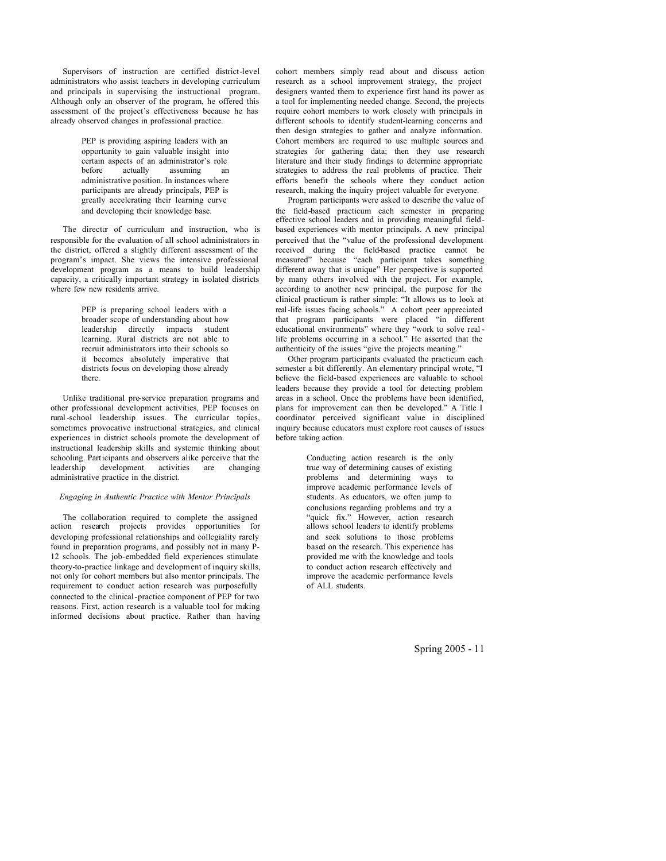Supervisors of instruction are certified district-level administrators who assist teachers in developing curriculum and principals in supervising the instructional program. Although only an observer of the program, he offered this assessment of the project's effectiveness because he has already observed changes in professional practice.

> PEP is providing aspiring leaders with an opportunity to gain valuable insight into certain aspects of an administrator's role<br>before actually assuming an assuming an administrative position. In instances where participants are already principals, PEP is greatly accelerating their learning curve and developing their knowledge base.

The director of curriculum and instruction, who is responsible for the evaluation of all school administrators in the district, offered a slightly different assessment of the program's impact. She views the intensive professional development program as a means to build leadership capacity, a critically important strategy in isolated districts where few new residents arrive.

> PEP is preparing school leaders with a broader scope of understanding about how leadership directly impacts student learning. Rural districts are not able to recruit administrators into their schools so it becomes absolutely imperative that districts focus on developing those already there.

Unlike traditional pre-service preparation programs and other professional development activities, PEP focuses on rural -school leadership issues. The curricular topics, sometimes provocative instructional strategies, and clinical experiences in district schools promote the development of instructional leadership skills and systemic thinking about schooling. Participants and observers alike perceive that the leadership development activities are changing administrative practice in the district.

# *Engaging in Authentic Practice with Mentor Principals*

The collaboration required to complete the assigned action research projects provides opportunities for developing professional relationships and collegiality rarely found in preparation programs, and possibly not in many P-12 schools. The job-embedded field experiences stimulate theory-to-practice linkage and development of inquiry skills, not only for cohort members but also mentor principals. The requirement to conduct action research was purposefully connected to the clinical-practice component of PEP for two reasons. First, action research is a valuable tool for making informed decisions about practice. Rather than having cohort members simply read about and discuss action research as a school improvement strategy, the project designers wanted them to experience first hand its power as a tool for implementing needed change. Second, the projects require cohort members to work closely with principals in different schools to identify student-learning concerns and then design strategies to gather and analyze information. Cohort members are required to use multiple sources and strategies for gathering data; then they use research literature and their study findings to determine appropriate strategies to address the real problems of practice. Their efforts benefit the schools where they conduct action research, making the inquiry project valuable for everyone.

Program participants were asked to describe the value of the field-based practicum each semester in preparing effective school leaders and in providing meaningful fieldbased experiences with mentor principals. A new principal perceived that the "value of the professional development received during the field-based practice cannot be measured" because "each participant takes something different away that is unique" Her perspective is supported by many others involved with the project. For example, according to another new principal, the purpose for the clinical practicum is rather simple: "It allows us to look at real-life issues facing schools." A cohort peer appreciated that program participants were placed "in different educational environments" where they "work to solve real life problems occurring in a school." He asserted that the authenticity of the issues "give the projects meaning."

Other program participants evaluated the practicum each semester a bit differently. An elementary principal wrote, "I believe the field-based experiences are valuable to school leaders because they provide a tool for detecting problem areas in a school. Once the problems have been identified, plans for improvement can then be developed." A Title I coordinator perceived significant value in disciplined inquiry because educators must explore root causes of issues before taking action.

> Conducting action research is the only true way of determining causes of existing problems and determining ways to improve academic performance levels of students. As educators, we often jump to conclusions regarding problems and try a "quick fix." However, action research allows school leaders to identify problems and seek solutions to those problems based on the research. This experience has provided me with the knowledge and tools to conduct action research effectively and improve the academic performance levels of ALL students.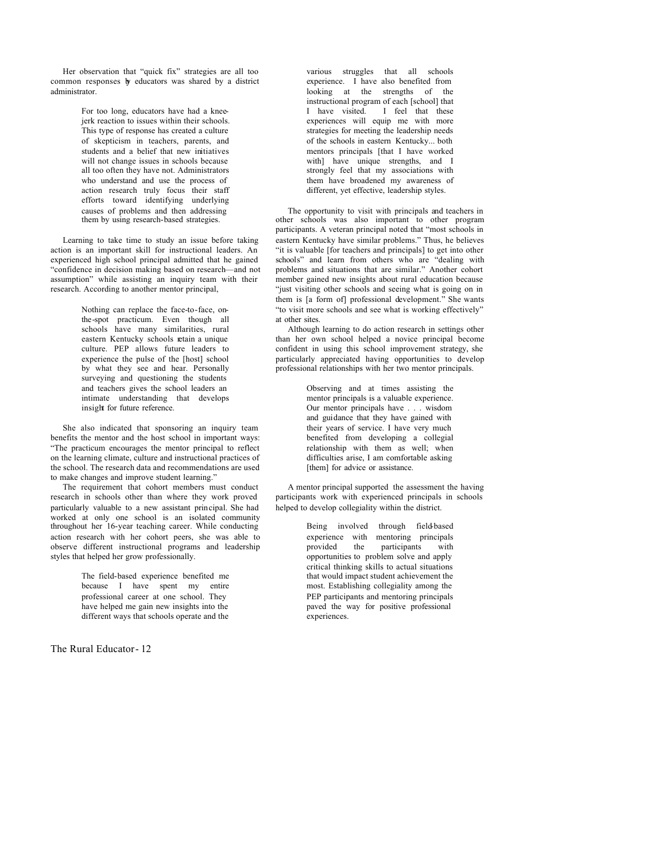Her observation that "quick fix" strategies are all too common responses by educators was shared by a district administrator.

> For too long, educators have had a kneejerk reaction to issues within their schools. This type of response has created a culture of skepticism in teachers, parents, and students and a belief that new initiatives will not change issues in schools because all too often they have not. Administrators who understand and use the process of action research truly focus their staff efforts toward identifying underlying causes of problems and then addressing them by using research-based strategies.

Learning to take time to study an issue before taking action is an important skill for instructional leaders. An experienced high school principal admitted that he gained "confidence in decision making based on research—and not assumption" while assisting an inquiry team with their research. According to another mentor principal,

> Nothing can replace the face-to-face, onthe-spot practicum. Even though all schools have many similarities, rural eastern Kentucky schools retain a unique culture. PEP allows future leaders to experience the pulse of the [host] school by what they see and hear. Personally surveying and questioning the students and teachers gives the school leaders an intimate understanding that develops insight for future reference.

She also indicated that sponsoring an inquiry team benefits the mentor and the host school in important ways: "The practicum encourages the mentor principal to reflect on the learning climate, culture and instructional practices of the school. The research data and recommendations are used to make changes and improve student learning."

The requirement that cohort members must conduct research in schools other than where they work proved particularly valuable to a new assistant principal. She had worked at only one school is an isolated community throughout her 16-year teaching career. While conducting action research with her cohort peers, she was able to observe different instructional programs and leadership styles that helped her grow professionally.

> The field-based experience benefited me because I have spent my entire professional career at one school. They have helped me gain new insights into the different ways that schools operate and the

The Rural Educator- 12

various struggles that all schools experience. I have also benefited from looking at the strengths of the instructional program of each [school] that I have visited. I feel that these experiences will equip me with more strategies for meeting the leadership needs of the schools in eastern Kentucky... both mentors principals [that I have worked with] have unique strengths, and I strongly feel that my associations with them have broadened my awareness of different, yet effective, leadership styles.

The opportunity to visit with principals and teachers in other schools was also important to other program participants. A veteran principal noted that "most schools in eastern Kentucky have similar problems." Thus, he believes "it is valuable [for teachers and principals] to get into other schools" and learn from others who are "dealing with problems and situations that are similar." Another cohort member gained new insights about rural education because "just visiting other schools and seeing what is going on in them is [a form of] professional development." She wants "to visit more schools and see what is working effectively" at other sites.

Although learning to do action research in settings other than her own school helped a novice principal become confident in using this school improvement strategy, she particularly appreciated having opportunities to develop professional relationships with her two mentor principals.

> Observing and at times assisting the mentor principals is a valuable experience. Our mentor principals have . . . wisdom and guidance that they have gained with their years of service. I have very much benefited from developing a collegial relationship with them as well; when difficulties arise, I am comfortable asking [them] for advice or assistance.

A mentor principal supported the assessment the having participants work with experienced principals in schools helped to develop collegiality within the district.

> Being involved through field-based experience with mentoring principals provided the participants with opportunities to problem solve and apply critical thinking skills to actual situations that would impact student achievement the most. Establishing collegiality among the PEP participants and mentoring principals paved the way for positive professional experiences.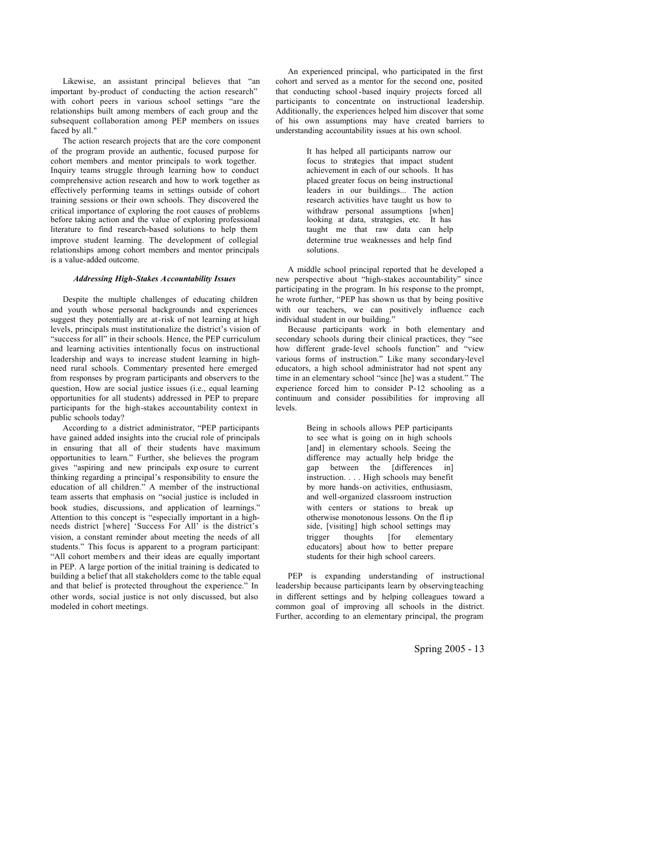Likewise, an assistant principal believes that "an important by-product of conducting the action research" with cohort peers in various school settings "are the relationships built among members of each group and the subsequent collaboration among PEP members on issues faced by all."

The action research projects that are the core component of the program provide an authentic, focused purpose for cohort members and mentor principals to work together. Inquiry teams struggle through learning how to conduct comprehensive action research and how to work together as effectively performing teams in settings outside of cohort training sessions or their own schools. They discovered the critical importance of exploring the root causes of problems before taking action and the value of exploring professional literature to find research-based solutions to help them improve student learning. The development of collegial relationships among cohort members and mentor principals is a value-added outcome.

#### *Addressing High-Stakes Accountability Issues*

Despite the multiple challenges of educating children and youth whose personal backgrounds and experiences suggest they potentially are at-risk of not learning at high levels, principals must institutionalize the district's vision of "success for all" in their schools. Hence, the PEP curriculum and learning activities intentionally focus on instructional leadership and ways to increase student learning in highneed rural schools. Commentary presented here emerged from responses by program participants and observers to the question, How are social justice issues (i.e., equal learning opportunities for all students) addressed in PEP to prepare participants for the high-stakes accountability context in public schools today?

According to a district administrator, "PEP participants have gained added insights into the crucial role of principals in ensuring that all of their students have maximum opportunities to learn." Further, she believes the program gives "aspiring and new principals exp osure to current thinking regarding a principal's responsibility to ensure the education of all children." A member of the instructional team asserts that emphasis on "social justice is included in book studies, discussions, and application of learnings." Attention to this concept is "especially important in a highneeds district [where] 'Success For All' is the district's vision, a constant reminder about meeting the needs of all students." This focus is apparent to a program participant: "All cohort members and their ideas are equally important in PEP. A large portion of the initial training is dedicated to building a belief that all stakeholders come to the table equal and that belief is protected throughout the experience." In other words, social justice is not only discussed, but also modeled in cohort meetings.

An experienced principal, who participated in the first cohort and served as a mentor for the second one, posited that conducting school -based inquiry projects forced all participants to concentrate on instructional leadership. Additionally, the experiences helped him discover that some of his own assumptions may have created barriers to understanding accountability issues at his own school.

> It has helped all participants narrow our focus to strategies that impact student achievement in each of our schools. It has placed greater focus on being instructional leaders in our buildings... The action research activities have taught us how to withdraw personal assumptions [when] looking at data, strategies, etc. It has taught me that raw data can help determine true weaknesses and help find solutions.

A middle school principal reported that he developed a new perspective about "high-stakes accountability" since participating in the program. In his response to the prompt, he wrote further, "PEP has shown us that by being positive with our teachers, we can positively influence each individual student in our building."

Because participants work in both elementary and secondary schools during their clinical practices, they "see how different grade-level schools function" and "view various forms of instruction." Like many secondary-level educators, a high school administrator had not spent any time in an elementary school "since [he] was a student." The experience forced him to consider P-12 schooling as a continuum and consider possibilities for improving all levels.

> Being in schools allows PEP participants to see what is going on in high schools [and] in elementary schools. Seeing the difference may actually help bridge the gap between the [differences in] instruction. . . . High schools may benefit by more hands-on activities, enthusiasm, and well-organized classroom instruction with centers or stations to break up otherwise monotonous lessons. On the fl ip side, [visiting] high school settings may trigger thoughts [for elementary educators] about how to better prepare students for their high school careers.

PEP is expanding understanding of instructional leadership because participants learn by observing teaching in different settings and by helping colleagues toward a common goal of improving all schools in the district. Further, according to an elementary principal, the program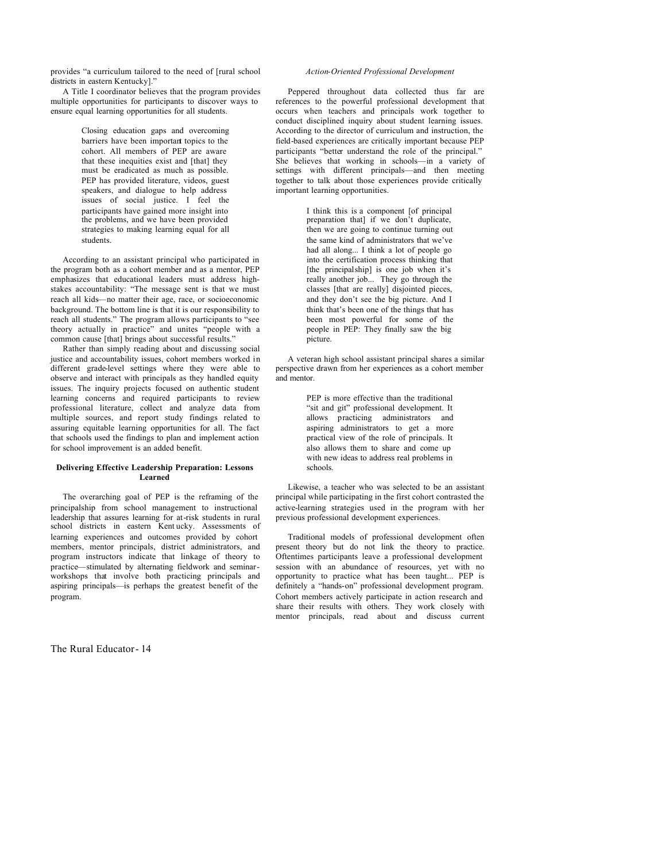provides "a curriculum tailored to the need of [rural school districts in eastern Kentucky]."

A Title I coordinator believes that the program provides multiple opportunities for participants to discover ways to ensure equal learning opportunities for all students.

> Closing education gaps and overcoming barriers have been important topics to the cohort. All members of PEP are aware that these inequities exist and [that] they must be eradicated as much as possible. PEP has provided literature, videos, guest speakers, and dialogue to help address issues of social justice. I feel the participants have gained more insight into the problems, and we have been provided strategies to making learning equal for all students.

According to an assistant principal who participated in the program both as a cohort member and as a mentor, PEP emphasizes that educational leaders must address highstakes accountability: "The message sent is that we must reach all kids—no matter their age, race, or socioeconomic background. The bottom line is that it is our responsibility to reach all students." The program allows participants to "see theory actually in practice" and unites "people with a common cause [that] brings about successful results."

Rather than simply reading about and discussing social justice and accountability issues, cohort members worked in different grade-level settings where they were able to observe and interact with principals as they handled equity issues. The inquiry projects focused on authentic student learning concerns and required participants to review professional literature, collect and analyze data from multiple sources, and report study findings related to assuring equitable learning opportunities for all. The fact that schools used the findings to plan and implement action for school improvement is an added benefit.

# **Delivering Effective Leadership Preparation: Lessons Learned**

The overarching goal of PEP is the reframing of the principalship from school management to instructional leadership that assures learning for at-risk students in rural school districts in eastern Kent ucky. Assessments of learning experiences and outcomes provided by cohort members, mentor principals, district administrators, and program instructors indicate that linkage of theory to practice—stimulated by alternating fieldwork and seminarworkshops that involve both practicing principals and aspiring principals—is perhaps the greatest benefit of the program.

The Rural Educator- 14

## *Action-Oriented Professional Development*

Peppered throughout data collected thus far are references to the powerful professional development that occurs when teachers and principals work together to conduct disciplined inquiry about student learning issues. According to the director of curriculum and instruction, the field-based experiences are critically important because PEP participants "better understand the role of the principal." She believes that working in schools—in a variety of settings with different principals—and then meeting together to talk about those experiences provide critically important learning opportunities.

> I think this is a component [of principal preparation that] if we don't duplicate, then we are going to continue turning out the same kind of administrators that we've had all along... I think a lot of people go into the certification process thinking that [the principalship] is one job when it's really another job... They go through the classes [that are really] disjointed pieces, and they don't see the big picture. And I think that's been one of the things that has been most powerful for some of the people in PEP: They finally saw the big picture.

A veteran high school assistant principal shares a similar perspective drawn from her experiences as a cohort member and mentor.

> PEP is more effective than the traditional "sit and git" professional development. It allows practicing administrators and aspiring administrators to get a more practical view of the role of principals. It also allows them to share and come up with new ideas to address real problems in schools.

Likewise, a teacher who was selected to be an assistant principal while participating in the first cohort contrasted the active-learning strategies used in the program with her previous professional development experiences.

Traditional models of professional development often present theory but do not link the theory to practice. Oftentimes participants leave a professional development session with an abundance of resources, yet with no opportunity to practice what has been taught... PEP is definitely a "hands-on" professional development program. Cohort members actively participate in action research and share their results with others. They work closely with mentor principals, read about and discuss current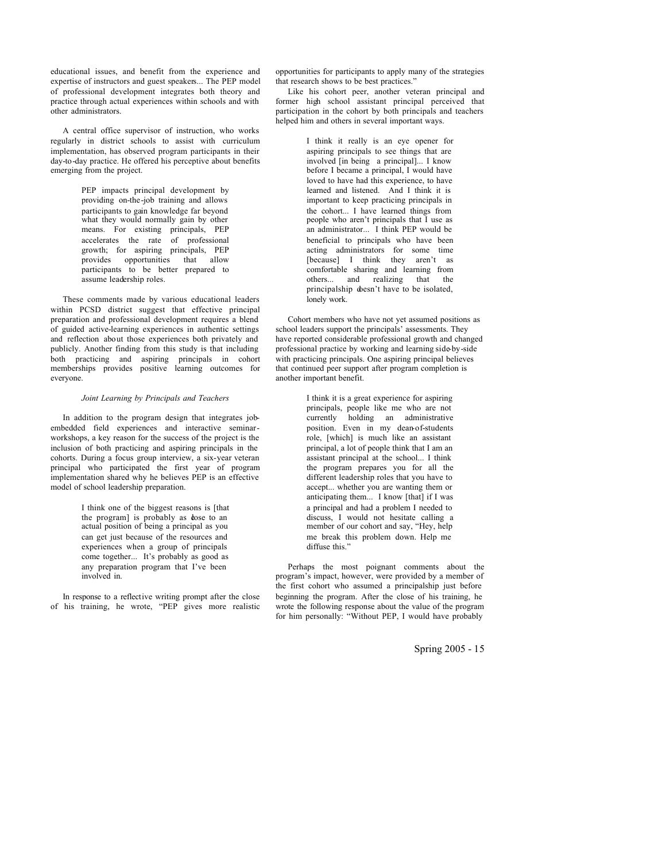educational issues, and benefit from the experience and expertise of instructors and guest speakers... The PEP model of professional development integrates both theory and practice through actual experiences within schools and with other administrators.

A central office supervisor of instruction, who works regularly in district schools to assist with curriculum implementation, has observed program participants in their day-to-day practice. He offered his perceptive about benefits emerging from the project.

> PEP impacts principal development by providing on-the-job training and allows participants to gain knowledge far beyond what they would normally gain by other means. For existing principals, PEP accelerates the rate of professional growth; for aspiring principals, PEP provides opportunities that allow participants to be better prepared to assume leadership roles.

These comments made by various educational leaders within PCSD district suggest that effective principal preparation and professional development requires a blend of guided active-learning experiences in authentic settings and reflection about those experiences both privately and publicly. Another finding from this study is that including both practicing and aspiring principals in cohort memberships provides positive learning outcomes for everyone.

#### *Joint Learning by Principals and Teachers*

In addition to the program design that integrates jobembedded field experiences and interactive seminarworkshops, a key reason for the success of the project is the inclusion of both practicing and aspiring principals in the cohorts. During a focus group interview, a six-year veteran principal who participated the first year of program implementation shared why he believes PEP is an effective model of school leadership preparation.

> I think one of the biggest reasons is [that the program] is probably as dose to an actual position of being a principal as you can get just because of the resources and experiences when a group of principals come together... It's probably as good as any preparation program that I've been involved in.

In response to a reflective writing prompt after the close of his training, he wrote, "PEP gives more realistic opportunities for participants to apply many of the strategies that research shows to be best practices."

Like his cohort peer, another veteran principal and former high school assistant principal perceived that participation in the cohort by both principals and teachers helped him and others in several important ways.

> I think it really is an eye opener for aspiring principals to see things that are involved [in being a principal]... I know before I became a principal, I would have loved to have had this experience, to have learned and listened. And I think it is important to keep practicing principals in the cohort... I have learned things from people who aren't principals that I use as an administrator... I think PEP would be beneficial to principals who have been acting administrators for some time [because] I think they aren't as comfortable sharing and learning from others... and realizing that the principalship doesn't have to be isolated, lonely work.

Cohort members who have not yet assumed positions as school leaders support the principals' assessments. They have reported considerable professional growth and changed professional practice by working and learning side-by-side with practicing principals. One aspiring principal believes that continued peer support after program completion is another important benefit.

> I think it is a great experience for aspiring principals, people like me who are not currently holding an administrative position. Even in my dean-of-students role, [which] is much like an assistant principal, a lot of people think that I am an assistant principal at the school... I think the program prepares you for all the different leadership roles that you have to accept... whether you are wanting them or anticipating them... I know [that] if I was a principal and had a problem I needed to discuss, I would not hesitate calling a member of our cohort and say, "Hey, help me break this problem down. Help me diffuse this."

Perhaps the most poignant comments about the program's impact, however, were provided by a member of the first cohort who assumed a principalship just before beginning the program. After the close of his training, he wrote the following response about the value of the program for him personally: "Without PEP, I would have probably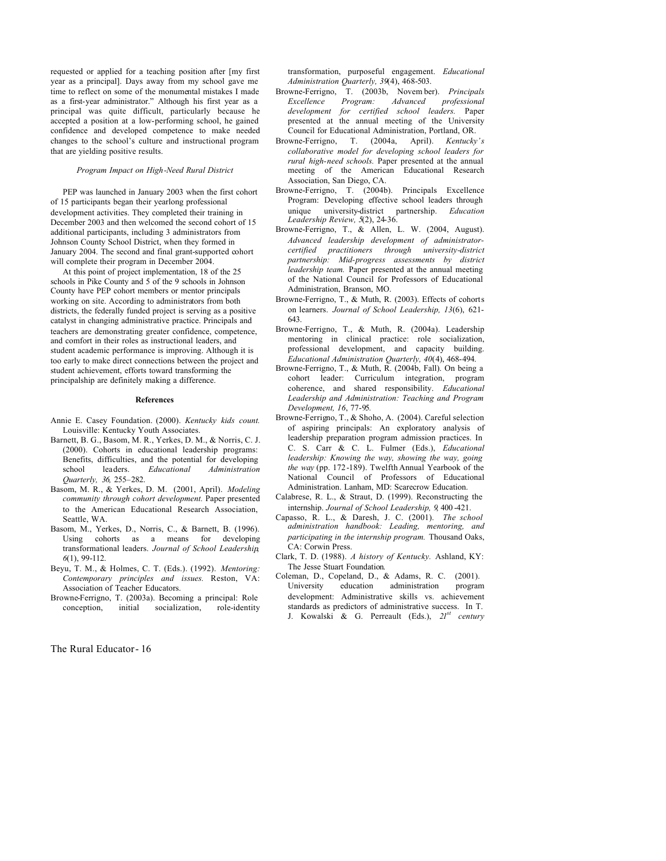requested or applied for a teaching position after [my first year as a principal]. Days away from my school gave me time to reflect on some of the monumental mistakes I made as a first-year administrator." Although his first year as a principal was quite difficult, particularly because he accepted a position at a low-performing school, he gained confidence and developed competence to make needed changes to the school's culture and instructional program that are yielding positive results.

#### *Program Impact on High-Need Rural District*

PEP was launched in January 2003 when the first cohort of 15 participants began their yearlong professional development activities. They completed their training in December 2003 and then welcomed the second cohort of 15 additional participants, including 3 administrators from Johnson County School District, when they formed in January 2004. The second and final grant-supported cohort will complete their program in December 2004.

At this point of project implementation, 18 of the 25 schools in Pike County and 5 of the 9 schools in Johnson County have PEP cohort members or mentor principals working on site. According to administrators from both districts, the federally funded project is serving as a positive catalyst in changing administrative practice. Principals and teachers are demonstrating greater confidence, competence, and comfort in their roles as instructional leaders, and student academic performance is improving. Although it is too early to make direct connections between the project and student achievement, efforts toward transforming the principalship are definitely making a difference.

#### **References**

- Annie E. Casey Foundation. (2000). *Kentucky kids count.* Louisville: Kentucky Youth Associates.
- Barnett, B. G., Basom, M. R., Yerkes, D. M., & Norris, C. J. (2000). Cohorts in educational leadership programs: Benefits, difficulties, and the potential for developing school leaders. *Educational Administration Quarterly, 36,* 255–282.
- Basom, M. R., & Yerkes, D. M. (2001, April). *Modeling community through cohort development.* Paper presented to the American Educational Research Association, Seattle, WA.
- Basom, M., Yerkes, D., Norris, C., & Barnett, B. (1996). Using cohorts as a means for developing transformational leaders. *Journal of School Leadership*, *6*(1), 99-112.
- Beyu, T. M., & Holmes, C. T. (Eds.). (1992). *Mentoring: Contemporary principles and issues.* Reston, VA: Association of Teacher Educators.
- Browne-Ferrigno, T. (2003a). Becoming a principal: Role conception, initial socialization, role-identity

The Rural Educator- 16

transformation, purposeful engagement. *Educational Administration Quarterly, 39*(4), 468-503.

- Browne-Ferrigno, T. (2003b, Novem ber). *Principals Excellence Program: Advanced professional development for certified school leaders.* Paper presented at the annual meeting of the University Council for Educational Administration, Portland, OR.
- Browne-Ferrigno, T. (2004a, April). *Kentucky's collaborative model for developing school leaders for rural high-need schools.* Paper presented at the annual meeting of the American Educational Research Association, San Diego, CA.
- Browne-Ferrigno, T. (2004b). Principals Excellence Program: Developing effective school leaders through unique university-district partnership. *Education Leadership Review, 5*(2), 24-36.
- Browne-Ferrigno, T., & Allen, L. W. (2004, August). *Advanced leadership development of administratorcertified practitioners through university-district partnership: Mid-progress assessments by district leadership team.* Paper presented at the annual meeting of the National Council for Professors of Educational Administration, Branson, MO.
- Browne-Ferrigno, T., & Muth, R. (2003). Effects of cohorts on learners. *Journal of School Leadership, 13*(6), 621- 643.
- Browne-Ferrigno, T., & Muth, R. (2004a). Leadership mentoring in clinical practice: role socialization, professional development, and capacity building. *Educational Administration Quarterly, 40*(4), 468-494.
- Browne-Ferrigno, T., & Muth, R. (2004b, Fall). On being a cohort leader: Curriculum integration, program coherence, and shared responsibility. *Educational Leadership and Administration: Teaching and Program Development, 16*, 77-95*.*
- Browne-Ferrigno, T., & Shoho, A. (2004). Careful selection of aspiring principals: An exploratory analysis of leadership preparation program admission practices. In C. S. Carr & C. L. Fulmer (Eds.), *Educational leadership: Knowing the way, showing the way, going the way* (pp. 172-189). Twelfth Annual Yearbook of the National Council of Professors of Educational Administration. Lanham, MD: Scarecrow Education.
- Calabrese, R. L., & Straut, D. (1999). Reconstructing the internship. *Journal of School Leadership, 9*, 400 -421.
- Capasso, R. L., & Daresh, J. C. (2001). *The school administration handbook: Leading, mentoring, and participating in the internship program.* Thousand Oaks, CA: Corwin Press.
- Clark, T. D. (1988). *A history of Kentucky.* Ashland, KY: The Jesse Stuart Foundation.
- Coleman, D., Copeland, D., & Adams, R. C. (2001). University education administration program development: Administrative skills vs. achievement standards as predictors of administrative success. In T. J. Kowalski & G. Perreault (Eds.), *21st century*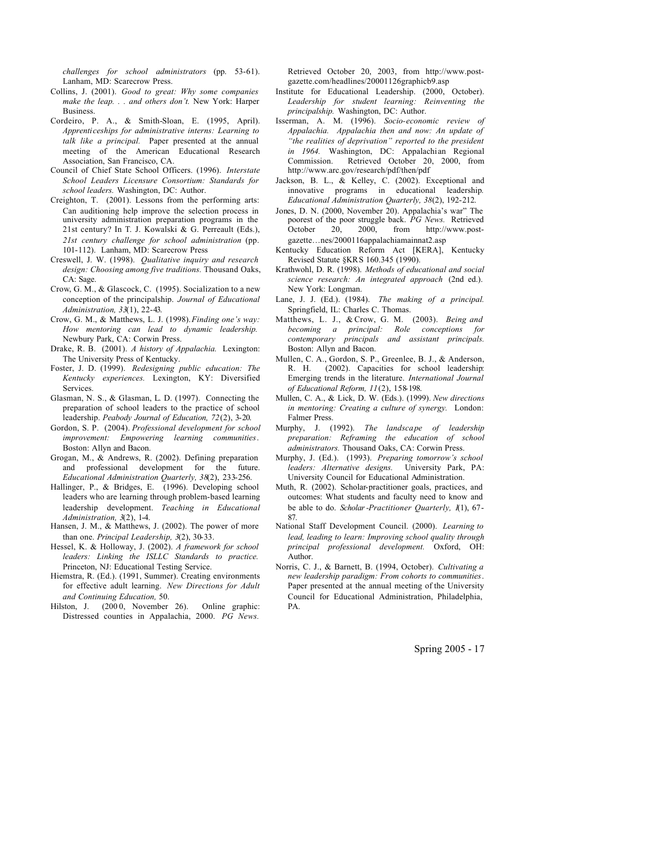*challenges for school administrators* (pp. 53-61). Lanham, MD: Scarecrow Press.

- Collins, J. (2001). *Good to great: Why some companies make the leap. . . and others don't.* New York: Harper Business.
- Cordeiro, P. A., & Smith-Sloan, E. (1995, April). *Apprenticeships for administrative interns: Learning to talk like a principal.* Paper presented at the annual meeting of the American Educational Research Association, San Francisco, CA.
- Council of Chief State School Officers. (1996). *Interstate School Leaders Licensure Consortium: Standards for school leaders.* Washington, DC: Author.
- Creighton, T. (2001). Lessons from the performing arts: Can auditioning help improve the selection process in university administration preparation programs in the 21st century? In T. J. Kowalski & G. Perreault (Eds.), *21st century challenge for school administration* (pp. 101-112). Lanham, MD: Scarecrow Press
- Creswell, J. W. (1998). *Qualitative inquiry and research design: Choosing among five traditions.* Thousand Oaks, CA: Sage.
- Crow, G. M., & Glascock, C. (1995). Socialization to a new conception of the principalship. *Journal of Educational Administration, 33*(1), 22-43.
- Crow, G. M., & Matthews, L. J. (1998).*Finding one's way: How mentoring can lead to dynamic leadership.* Newbury Park, CA: Corwin Press.
- Drake, R. B. (2001). *A history of Appalachia.* Lexington: The University Press of Kentucky.
- Foster, J. D. (1999). *Redesigning public education: The Kentucky experiences.* Lexington, KY: Diversified **Services**.
- Glasman, N. S., & Glasman, L. D. (1997). Connecting the preparation of school leaders to the practice of school leadership. *Peabody Journal of Education, 72*(2), 3-20.
- Gordon, S. P. (2004). *Professional development for school improvement: Empowering learning communities*. Boston: Allyn and Bacon.
- Grogan, M., & Andrews, R. (2002). Defining preparation and professional development for the future. *Educational Administration Quarterly, 38*(2), 233-256.
- Hallinger, P., & Bridges, E. (1996). Developing school leaders who are learning through problem-based learning leadership development. *Teaching in Educational Administration, 3*(2), 1-4.
- Hansen, J. M., & Matthews, J. (2002). The power of more than one. *Principal Leadership, 3*(2), 30-33.
- Hessel, K. & Holloway, J. (2002). *A framework for school leaders: Linking the ISLLC Standards to practice.* Princeton, NJ: Educational Testing Service.
- Hiemstra, R. (Ed.). (1991, Summer). Creating environments for effective adult learning. *New Directions for Adult and Continuing Education,* 50.
- Hilston, J. (2000, November 26). Online graphic: Distressed counties in Appalachia, 2000. *PG News.*

Retrieved October 20, 2003, from http://www.postgazette.com/headlines/20001126graphicb9.asp

- Institute for Educational Leadership. (2000, October). *Leadership for student learning: Reinventing the principalship.* Washington, DC: Author.
- Isserman, A. M. (1996). *Socio-economic review of Appalachia. Appalachia then and now: An update of "the realities of deprivation" reported to the president in 1964.* Washington, DC: Appalachian Regional Commission. Retrieved October 20, 2000, from http://www.arc.gov/research/pdf/then/pdf
- Jackson, B. L., & Kelley, C. (2002). Exceptional and innovative programs in educational leadership*. Educational Administration Quarterly, 38*(2), 192-212.
- Jones, D. N. (2000, November 20). Appalachia's war" The poorest of the poor struggle back. *PG News.* Retrieved October 20, 2000, from http://www.post- $20,$   $2000,$  from http://www.postgazette…nes/2000116appalachiamainnat2.asp
- Kentucky Education Reform Act [KERA], Kentucky Revised Statute §KRS 160.345 (1990).
- Krathwohl, D. R. (1998). *Methods of educational and social science research: An integrated approach* (2nd ed.). New York: Longman.
- Lane, J. J. (Ed.). (1984). *The making of a principal.* Springfield, IL: Charles C. Thomas.
- Matthews, L. J., & Crow, G. M. (2003). *Being and becoming a principal: Role conceptions for contemporary principals and assistant principals.* Boston: Allyn and Bacon.
- Mullen, C. A., Gordon, S. P., Greenlee, B. J., & Anderson, R. H. (2002). Capacities for school leadership: Emerging trends in the literature. *International Journal of Educational Reform, 11*(2), 158-198.
- Mullen, C. A., & Lick, D. W. (Eds.). (1999). *New directions in mentoring: Creating a culture of synergy.* London: Falmer Press.
- Murphy, J. (1992). *The landscape of leadership preparation: Reframing the education of school administrators.* Thousand Oaks, CA: Corwin Press.
- Murphy, J. (Ed.). (1993). *Preparing tomorrow's school leaders: Alternative designs.* University Park, PA: University Council for Educational Administration.
- Muth, R. (2002). Scholar-practitioner goals, practices, and outcomes: What students and faculty need to know and be able to do. *Scholar-Practitioner Quarterly, 1*(1), 67- 87.
- National Staff Development Council. (2000). *Learning to lead, leading to learn: Improving school quality through principal professional development.* Oxford, OH: Author.
- Norris, C. J., & Barnett, B. (1994, October). *Cultivating a new leadership paradigm: From cohorts to communities*. Paper presented at the annual meeting of the University Council for Educational Administration, Philadelphia, PA.